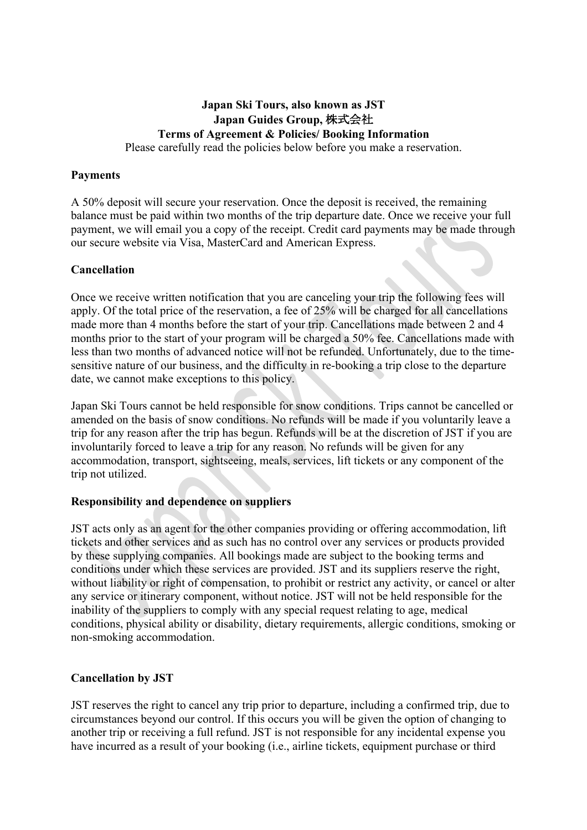### **Japan Ski Tours, also known as JST Japan Guides Group,** 株式会社 **Terms of Agreement & Policies/ Booking Information** Please carefully read the policies below before you make a reservation.

### **Payments**

A 50% deposit will secure your reservation. Once the deposit is received, the remaining balance must be paid within two months of the trip departure date. Once we receive your full payment, we will email you a copy of the receipt. Credit card payments may be made through our secure website via Visa, MasterCard and American Express.

### **Cancellation**

Once we receive written notification that you are canceling your trip the following fees will apply. Of the total price of the reservation, a fee of 25% will be charged for all cancellations made more than 4 months before the start of your trip. Cancellations made between 2 and 4 months prior to the start of your program will be charged a 50% fee. Cancellations made with less than two months of advanced notice will not be refunded. Unfortunately, due to the timesensitive nature of our business, and the difficulty in re-booking a trip close to the departure date, we cannot make exceptions to this policy.

Japan Ski Tours cannot be held responsible for snow conditions. Trips cannot be cancelled or amended on the basis of snow conditions. No refunds will be made if you voluntarily leave a trip for any reason after the trip has begun. Refunds will be at the discretion of JST if you are involuntarily forced to leave a trip for any reason. No refunds will be given for any accommodation, transport, sightseeing, meals, services, lift tickets or any component of the trip not utilized.

#### **Responsibility and dependence on suppliers**

JST acts only as an agent for the other companies providing or offering accommodation, lift tickets and other services and as such has no control over any services or products provided by these supplying companies. All bookings made are subject to the booking terms and conditions under which these services are provided. JST and its suppliers reserve the right, without liability or right of compensation, to prohibit or restrict any activity, or cancel or alter any service or itinerary component, without notice. JST will not be held responsible for the inability of the suppliers to comply with any special request relating to age, medical conditions, physical ability or disability, dietary requirements, allergic conditions, smoking or non-smoking accommodation.

## **Cancellation by JST**

JST reserves the right to cancel any trip prior to departure, including a confirmed trip, due to circumstances beyond our control. If this occurs you will be given the option of changing to another trip or receiving a full refund. JST is not responsible for any incidental expense you have incurred as a result of your booking (i.e., airline tickets, equipment purchase or third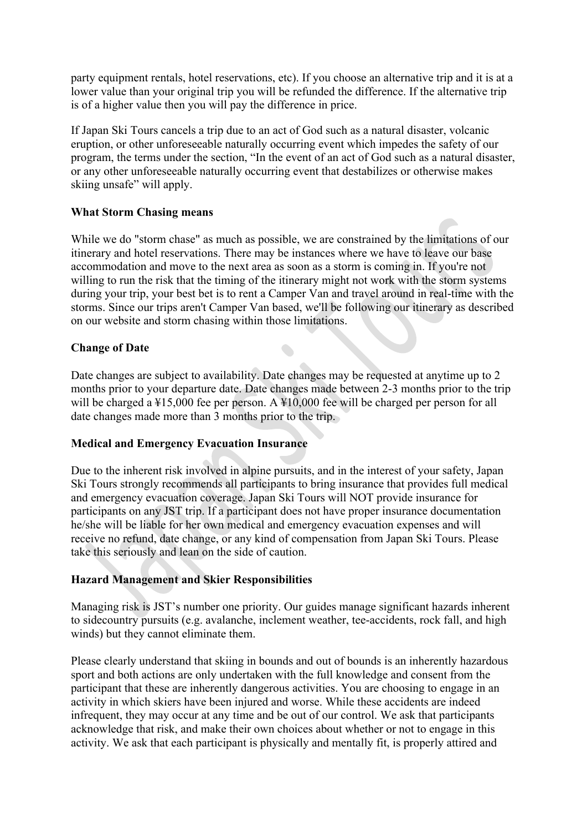party equipment rentals, hotel reservations, etc). If you choose an alternative trip and it is at a lower value than your original trip you will be refunded the difference. If the alternative trip is of a higher value then you will pay the difference in price.

If Japan Ski Tours cancels a trip due to an act of God such as a natural disaster, volcanic eruption, or other unforeseeable naturally occurring event which impedes the safety of our program, the terms under the section, "In the event of an act of God such as a natural disaster, or any other unforeseeable naturally occurring event that destabilizes or otherwise makes skiing unsafe" will apply.

## **What Storm Chasing means**

While we do "storm chase" as much as possible, we are constrained by the limitations of our itinerary and hotel reservations. There may be instances where we have to leave our base accommodation and move to the next area as soon as a storm is coming in. If you're not willing to run the risk that the timing of the itinerary might not work with the storm systems during your trip, your best bet is to rent a Camper Van and travel around in real-time with the storms. Since our trips aren't Camper Van based, we'll be following our itinerary as described on our website and storm chasing within those limitations.

# **Change of Date**

Date changes are subject to availability. Date changes may be requested at anytime up to 2 months prior to your departure date. Date changes made between 2-3 months prior to the trip will be charged a ¥15,000 fee per person. A ¥10,000 fee will be charged per person for all date changes made more than 3 months prior to the trip.

## **Medical and Emergency Evacuation Insurance**

Due to the inherent risk involved in alpine pursuits, and in the interest of your safety, Japan Ski Tours strongly recommends all participants to bring insurance that provides full medical and emergency evacuation coverage. Japan Ski Tours will NOT provide insurance for participants on any JST trip. If a participant does not have proper insurance documentation he/she will be liable for her own medical and emergency evacuation expenses and will receive no refund, date change, or any kind of compensation from Japan Ski Tours. Please take this seriously and lean on the side of caution.

## **Hazard Management and Skier Responsibilities**

Managing risk is JST's number one priority. Our guides manage significant hazards inherent to sidecountry pursuits (e.g. avalanche, inclement weather, tee-accidents, rock fall, and high winds) but they cannot eliminate them.

Please clearly understand that skiing in bounds and out of bounds is an inherently hazardous sport and both actions are only undertaken with the full knowledge and consent from the participant that these are inherently dangerous activities. You are choosing to engage in an activity in which skiers have been injured and worse. While these accidents are indeed infrequent, they may occur at any time and be out of our control. We ask that participants acknowledge that risk, and make their own choices about whether or not to engage in this activity. We ask that each participant is physically and mentally fit, is properly attired and